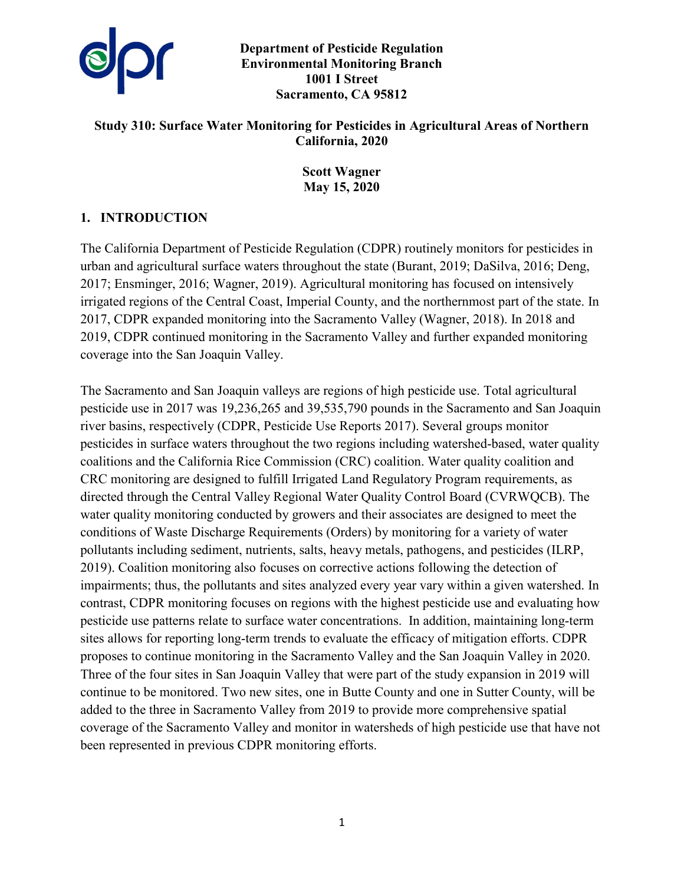

**Department of Pesticide Regulation Environmental Monitoring Branch 1001 I Street Sacramento, CA 95812** 

## **Study 310: Surface Water Monitoring for Pesticides in Agricultural Areas of Northern California, 2020**

**Scott Wagner May 15, 2020** 

## **1. INTRODUCTION**

The California Department of Pesticide Regulation (CDPR) routinely monitors for pesticides in urban and agricultural surface waters throughout the state (Burant, 2019; DaSilva, 2016; Deng, 2017; Ensminger, 2016; Wagner, 2019). Agricultural monitoring has focused on intensively irrigated regions of the Central Coast, Imperial County, and the northernmost part of the state. In 2017, CDPR expanded monitoring into the Sacramento Valley (Wagner, 2018). In 2018 and 2019, CDPR continued monitoring in the Sacramento Valley and further expanded monitoring coverage into the San Joaquin Valley.

The Sacramento and San Joaquin valleys are regions of high pesticide use. Total agricultural pesticide use in 2017 was 19,236,265 and 39,535,790 pounds in the Sacramento and San Joaquin river basins, respectively (CDPR, Pesticide Use Reports 2017). Several groups monitor pesticides in surface waters throughout the two regions including watershed-based, water quality coalitions and the California Rice Commission (CRC) coalition. Water quality coalition and CRC monitoring are designed to fulfill Irrigated Land Regulatory Program requirements, as directed through the Central Valley Regional Water Quality Control Board (CVRWQCB). The water quality monitoring conducted by growers and their associates are designed to meet the conditions of Waste Discharge Requirements (Orders) by monitoring for a variety of water pollutants including sediment, nutrients, salts, heavy metals, pathogens, and pesticides (ILRP, 2019). Coalition monitoring also focuses on corrective actions following the detection of impairments; thus, the pollutants and sites analyzed every year vary within a given watershed. In contrast, CDPR monitoring focuses on regions with the highest pesticide use and evaluating how pesticide use patterns relate to surface water concentrations. In addition, maintaining long-term sites allows for reporting long-term trends to evaluate the efficacy of mitigation efforts. CDPR proposes to continue monitoring in the Sacramento Valley and the San Joaquin Valley in 2020. Three of the four sites in San Joaquin Valley that were part of the study expansion in 2019 will continue to be monitored. Two new sites, one in Butte County and one in Sutter County, will be added to the three in Sacramento Valley from 2019 to provide more comprehensive spatial coverage of the Sacramento Valley and monitor in watersheds of high pesticide use that have not been represented in previous CDPR monitoring efforts.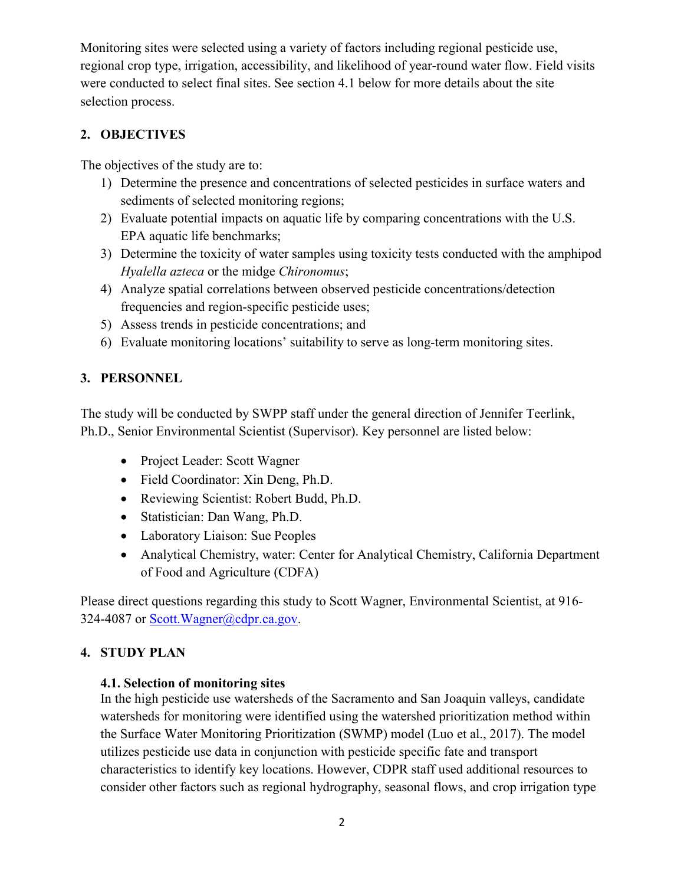Monitoring sites were selected using a variety of factors including regional pesticide use, regional crop type, irrigation, accessibility, and likelihood of year-round water flow. Field visits were conducted to select final sites. See section 4.1 below for more details about the site selection process.

# **2. OBJECTIVES**

The objectives of the study are to:

- 1) Determine the presence and concentrations of selected pesticides in surface waters and sediments of selected monitoring regions;
- 2) Evaluate potential impacts on aquatic life by comparing concentrations with the U.S. EPA aquatic life benchmarks;
- 3) Determine the toxicity of water samples using toxicity tests conducted with the amphipod *Hyalella azteca* or the midge *Chironomus*;
- 4) Analyze spatial correlations between observed pesticide concentrations/detection frequencies and region-specific pesticide uses;
- 5) Assess trends in pesticide concentrations; and
- 6) Evaluate monitoring locations' suitability to serve as long-term monitoring sites.

# **3. PERSONNEL**

The study will be conducted by SWPP staff under the general direction of Jennifer Teerlink, Ph.D., Senior Environmental Scientist (Supervisor). Key personnel are listed below:

- Project Leader: Scott Wagner
- Field Coordinator: Xin Deng, Ph.D.
- Reviewing Scientist: Robert Budd, Ph.D.
- Statistician: Dan Wang, Ph.D.
- Laboratory Liaison: Sue Peoples
- Analytical Chemistry, water: Center for Analytical Chemistry, California Department of Food and Agriculture (CDFA)

Please direct questions regarding this study to Scott Wagner, Environmental Scientist, at 916- 324-4087 or [Scott.Wagner@cdpr.ca.gov.](mailto:Scott.Wagner@cdpr.ca.gov)

# **4. STUDY PLAN**

### **4.1. Selection of monitoring sites**

In the high pesticide use watersheds of the Sacramento and San Joaquin valleys, candidate watersheds for monitoring were identified using the watershed prioritization method within the Surface Water Monitoring Prioritization (SWMP) model (Luo et al., 2017). The model utilizes pesticide use data in conjunction with pesticide specific fate and transport characteristics to identify key locations. However, CDPR staff used additional resources to consider other factors such as regional hydrography, seasonal flows, and crop irrigation type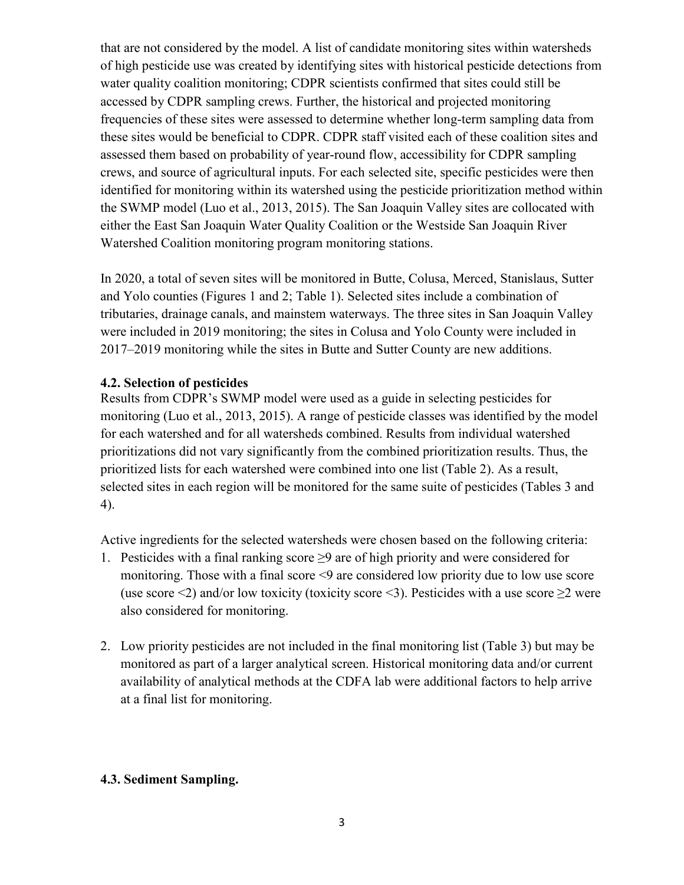that are not considered by the model. A list of candidate monitoring sites within watersheds of high pesticide use was created by identifying sites with historical pesticide detections from water quality coalition monitoring; CDPR scientists confirmed that sites could still be accessed by CDPR sampling crews. Further, the historical and projected monitoring frequencies of these sites were assessed to determine whether long-term sampling data from these sites would be beneficial to CDPR. CDPR staff visited each of these coalition sites and assessed them based on probability of year-round flow, accessibility for CDPR sampling crews, and source of agricultural inputs. For each selected site, specific pesticides were then identified for monitoring within its watershed using the pesticide prioritization method within the SWMP model (Luo et al., 2013, 2015). The San Joaquin Valley sites are collocated with either the East San Joaquin Water Quality Coalition or the Westside San Joaquin River Watershed Coalition monitoring program monitoring stations.

In 2020, a total of seven sites will be monitored in Butte, Colusa, Merced, Stanislaus, Sutter and Yolo counties (Figures 1 and 2; Table 1). Selected sites include a combination of tributaries, drainage canals, and mainstem waterways. The three sites in San Joaquin Valley were included in 2019 monitoring; the sites in Colusa and Yolo County were included in 2017–2019 monitoring while the sites in Butte and Sutter County are new additions.

### **4.2. Selection of pesticides**

Results from CDPR's SWMP model were used as a guide in selecting pesticides for monitoring (Luo et al., 2013, 2015). A range of pesticide classes was identified by the model for each watershed and for all watersheds combined. Results from individual watershed prioritizations did not vary significantly from the combined prioritization results. Thus, the prioritized lists for each watershed were combined into one list (Table 2). As a result, selected sites in each region will be monitored for the same suite of pesticides (Tables 3 and 4).

Active ingredients for the selected watersheds were chosen based on the following criteria:

- 1. Pesticides with a final ranking score  $\geq$ 9 are of high priority and were considered for monitoring. Those with a final score <9 are considered low priority due to low use score (use score <2) and/or low toxicity (toxicity score <3). Pesticides with a use score  $\geq$ 2 were also considered for monitoring.
- 2. Low priority pesticides are not included in the final monitoring list (Table 3) but may be monitored as part of a larger analytical screen. Historical monitoring data and/or current availability of analytical methods at the CDFA lab were additional factors to help arrive at a final list for monitoring.

### **4.3. Sediment Sampling.**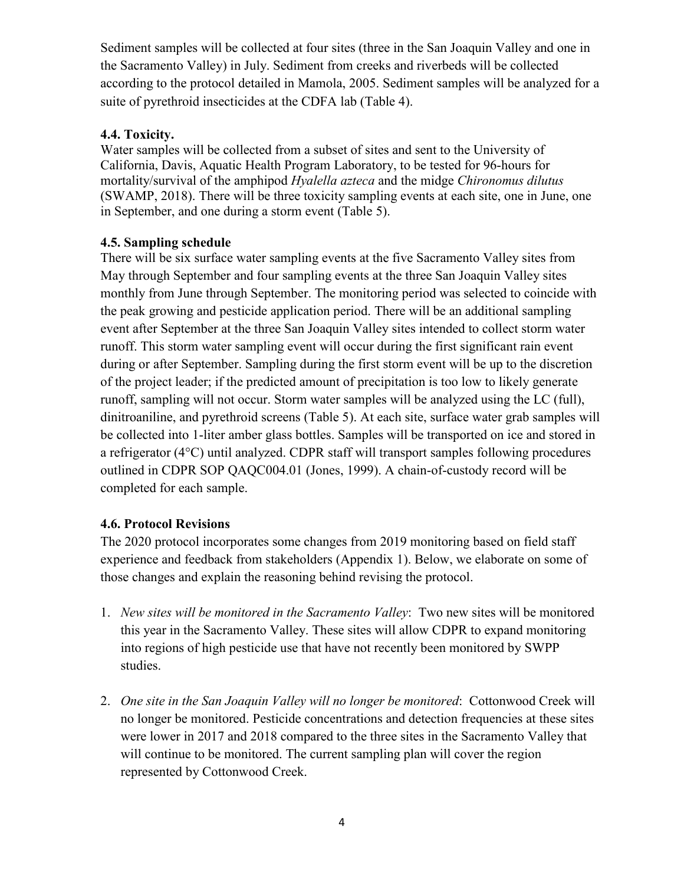Sediment samples will be collected at four sites (three in the San Joaquin Valley and one in the Sacramento Valley) in July. Sediment from creeks and riverbeds will be collected according to the protocol detailed in Mamola, 2005. Sediment samples will be analyzed for a suite of pyrethroid insecticides at the CDFA lab (Table 4).

## **4.4. Toxicity.**

Water samples will be collected from a subset of sites and sent to the University of California, Davis, Aquatic Health Program Laboratory, to be tested for 96-hours for mortality/survival of the amphipod *Hyalella azteca* and the midge *Chironomus dilutus*  (SWAMP, 2018). There will be three toxicity sampling events at each site, one in June, one in September, and one during a storm event (Table 5).

## **4.5. Sampling schedule**

There will be six surface water sampling events at the five Sacramento Valley sites from May through September and four sampling events at the three San Joaquin Valley sites monthly from June through September. The monitoring period was selected to coincide with the peak growing and pesticide application period. There will be an additional sampling event after September at the three San Joaquin Valley sites intended to collect storm water runoff. This storm water sampling event will occur during the first significant rain event during or after September. Sampling during the first storm event will be up to the discretion of the project leader; if the predicted amount of precipitation is too low to likely generate runoff, sampling will not occur. Storm water samples will be analyzed using the LC (full), dinitroaniline, and pyrethroid screens (Table 5). At each site, surface water grab samples will be collected into 1-liter amber glass bottles. Samples will be transported on ice and stored in a refrigerator (4°C) until analyzed. CDPR staff will transport samples following procedures outlined in CDPR SOP QAQC004.01 (Jones, 1999). A chain-of-custody record will be completed for each sample.

# **4.6. Protocol Revisions**

The 2020 protocol incorporates some changes from 2019 monitoring based on field staff experience and feedback from stakeholders (Appendix 1). Below, we elaborate on some of those changes and explain the reasoning behind revising the protocol.

- 1. *New sites will be monitored in the Sacramento Valley*: Two new sites will be monitored this year in the Sacramento Valley. These sites will allow CDPR to expand monitoring into regions of high pesticide use that have not recently been monitored by SWPP studies.
- 2. *One site in the San Joaquin Valley will no longer be monitored*: Cottonwood Creek will no longer be monitored. Pesticide concentrations and detection frequencies at these sites were lower in 2017 and 2018 compared to the three sites in the Sacramento Valley that will continue to be monitored. The current sampling plan will cover the region represented by Cottonwood Creek.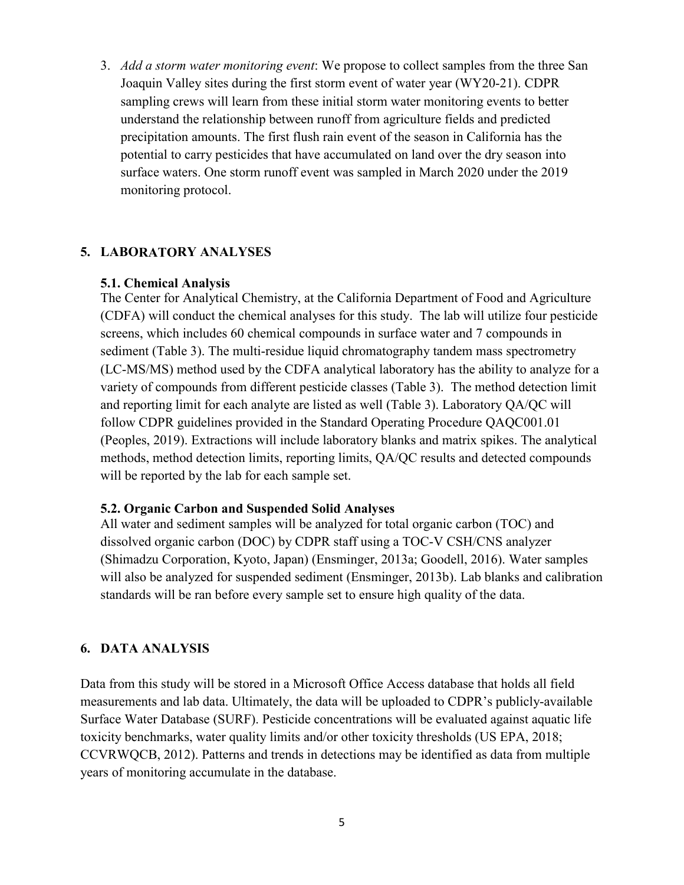3. *Add a storm water monitoring event*: We propose to collect samples from the three San Joaquin Valley sites during the first storm event of water year (WY20-21). CDPR sampling crews will learn from these initial storm water monitoring events to better understand the relationship between runoff from agriculture fields and predicted precipitation amounts. The first flush rain event of the season in California has the potential to carry pesticides that have accumulated on land over the dry season into surface waters. One storm runoff event was sampled in March 2020 under the 2019 monitoring protocol.

#### **5. LABORATORY ANALYSES**

#### **5.1. Chemical Analysis**

The Center for Analytical Chemistry, at the California Department of Food and Agriculture (CDFA) will conduct the chemical analyses for this study. The lab will utilize four pesticide screens, which includes 60 chemical compounds in surface water and 7 compounds in sediment (Table 3). The multi-residue liquid chromatography tandem mass spectrometry (LC-MS/MS) method used by the CDFA analytical laboratory has the ability to analyze for a variety of compounds from different pesticide classes (Table 3). The method detection limit and reporting limit for each analyte are listed as well (Table 3). Laboratory QA/QC will follow CDPR guidelines provided in the Standard Operating Procedure QAQC001.01 (Peoples, 2019). Extractions will include laboratory blanks and matrix spikes. The analytical methods, method detection limits, reporting limits, QA/QC results and detected compounds will be reported by the lab for each sample set.

#### **5.2. Organic Carbon and Suspended Solid Analyses**

All water and sediment samples will be analyzed for total organic carbon (TOC) and dissolved organic carbon (DOC) by CDPR staff using a TOC-V CSH/CNS analyzer (Shimadzu Corporation, Kyoto, Japan) (Ensminger, 2013a; Goodell, 2016). Water samples will also be analyzed for suspended sediment (Ensminger, 2013b). Lab blanks and calibration standards will be ran before every sample set to ensure high quality of the data.

#### **6. DATA ANALYSIS**

Data from this study will be stored in a Microsoft Office Access database that holds all field measurements and lab data. Ultimately, the data will be uploaded to CDPR's publicly-available Surface Water Database (SURF). Pesticide concentrations will be evaluated against aquatic life toxicity benchmarks, water quality limits and/or other toxicity thresholds (US EPA, 2018; CCVRWQCB, 2012). Patterns and trends in detections may be identified as data from multiple years of monitoring accumulate in the database.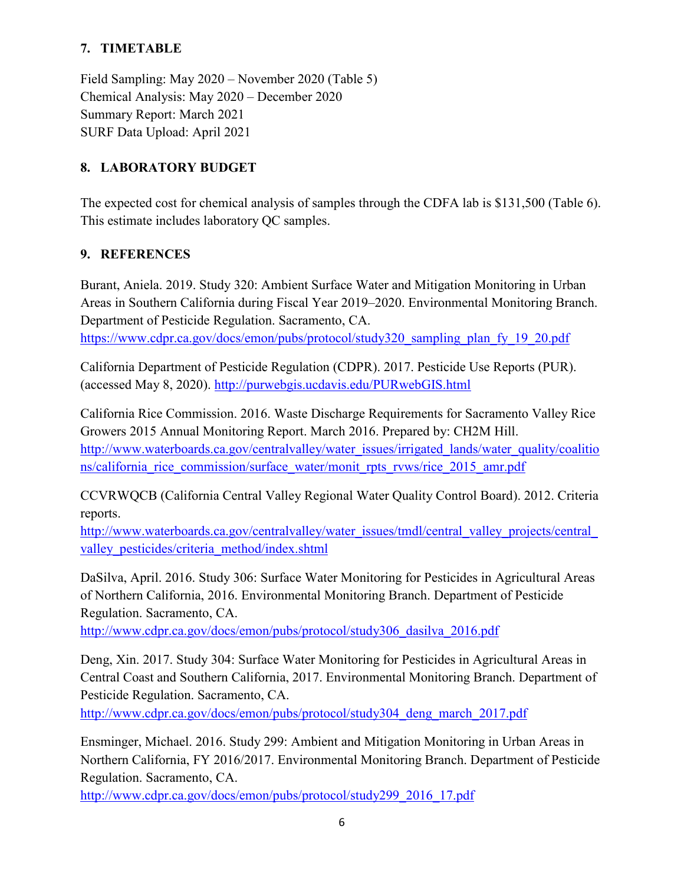# **7. TIMETABLE**

Field Sampling: May 2020 – November 2020 (Table 5) Chemical Analysis: May 2020 – December 2020 Summary Report: March 2021 SURF Data Upload: April 2021

# **8. LABORATORY BUDGET**

The expected cost for chemical analysis of samples through the CDFA lab is \$131,500 (Table 6). This estimate includes laboratory QC samples.

# **9. REFERENCES**

Burant, Aniela. 2019. Study 320: Ambient Surface Water and Mitigation Monitoring in Urban Areas in Southern California during Fiscal Year 2019–2020. Environmental Monitoring Branch. Department of Pesticide Regulation. Sacramento, CA. [https://www.cdpr.ca.gov/docs/emon/pubs/protocol/study320\\_sampling\\_plan\\_fy\\_19\\_20.pdf](https://www.cdpr.ca.gov/docs/emon/pubs/protocol/study320_sampling_plan_fy_19_20.pdf)

California Department of Pesticide Regulation (CDPR). 2017. Pesticide Use Reports (PUR). (accessed May 8, 2020).<http://purwebgis.ucdavis.edu/PURwebGIS.html>

California Rice Commission. 2016. Waste Discharge Requirements for Sacramento Valley Rice Growers 2015 Annual Monitoring Report. March 2016. Prepared by: CH2M Hill. [http://www.waterboards.ca.gov/centralvalley/water\\_issues/irrigated\\_lands/water\\_quality/coalitio](http://www.waterboards.ca.gov/centralvalley/water_issues/irrigated_lands/water_quality/coalitions/california_rice_commission/surface_water/monit_rpts_rvws/rice_2015_amr.pdf) [ns/california\\_rice\\_commission/surface\\_water/monit\\_rpts\\_rvws/rice\\_2015\\_amr.pdf](http://www.waterboards.ca.gov/centralvalley/water_issues/irrigated_lands/water_quality/coalitions/california_rice_commission/surface_water/monit_rpts_rvws/rice_2015_amr.pdf)

CCVRWQCB (California Central Valley Regional Water Quality Control Board). 2012. Criteria reports.

http://www.waterboards.ca.gov/centralvalley/water\_issues/tmdl/central\_valley\_projects/central [valley\\_pesticides/criteria\\_method/index.shtml](http://www.waterboards.ca.gov/centralvalley/water_issues/tmdl/central_valley_projects/central_valley_pesticides/criteria_method/index.shtml)

DaSilva, April. 2016. Study 306: Surface Water Monitoring for Pesticides in Agricultural Areas of Northern California, 2016. Environmental Monitoring Branch. Department of Pesticide Regulation. Sacramento, CA.

[http://www.cdpr.ca.gov/docs/emon/pubs/protocol/study306\\_dasilva\\_2016.pdf](http://www.cdpr.ca.gov/docs/emon/pubs/protocol/study306_dasilva_2016.pdf)

Deng, Xin. 2017. Study 304: Surface Water Monitoring for Pesticides in Agricultural Areas in Central Coast and Southern California, 2017. Environmental Monitoring Branch. Department of Pesticide Regulation. Sacramento, CA.

[http://www.cdpr.ca.gov/docs/emon/pubs/protocol/study304\\_deng\\_march\\_2017.pdf](http://www.cdpr.ca.gov/docs/emon/pubs/protocol/study304_deng_march_2017.pdf)

Ensminger, Michael. 2016. Study 299: Ambient and Mitigation Monitoring in Urban Areas in Northern California, FY 2016/2017. Environmental Monitoring Branch. Department of Pesticide Regulation. Sacramento, CA.

[http://www.cdpr.ca.gov/docs/emon/pubs/protocol/study299\\_2016\\_17.pdf](http://www.cdpr.ca.gov/docs/emon/pubs/protocol/study299_2016_17.pdf)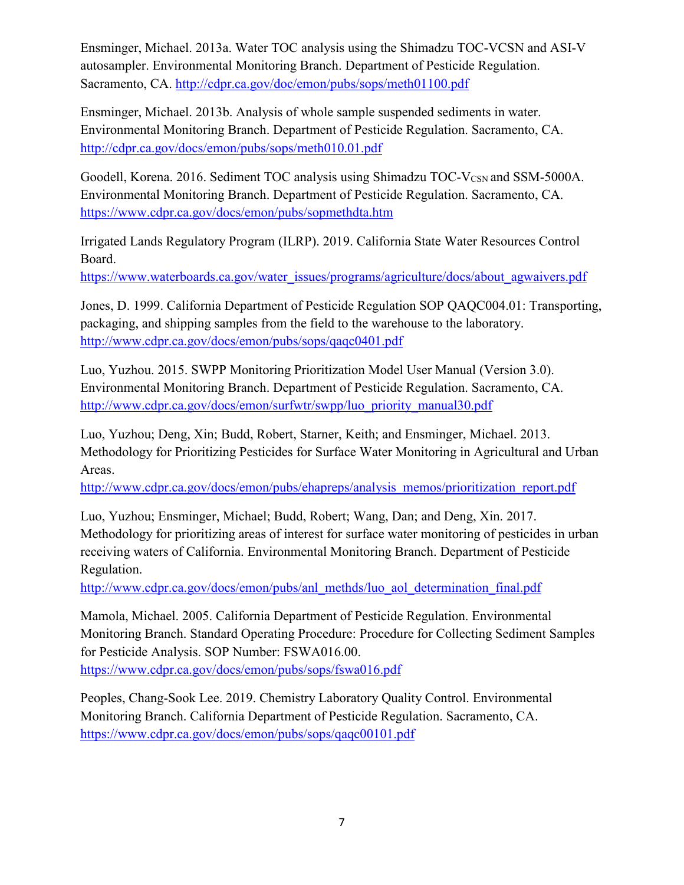Ensminger, Michael. 2013a. Water TOC analysis using the Shimadzu TOC-VCSN and ASI-V autosampler. Environmental Monitoring Branch. Department of Pesticide Regulation. Sacramento, CA.<http://cdpr.ca.gov/doc/emon/pubs/sops/meth01100.pdf>

Ensminger, Michael. 2013b. Analysis of whole sample suspended sediments in water. Environmental Monitoring Branch. Department of Pesticide Regulation. Sacramento, CA. <http://cdpr.ca.gov/docs/emon/pubs/sops/meth010.01.pdf>

Goodell, Korena. 2016. Sediment TOC analysis using Shimadzu TOC-V<sub>CSN</sub> and SSM-5000A. Environmental Monitoring Branch. Department of Pesticide Regulation. Sacramento, CA. <https://www.cdpr.ca.gov/docs/emon/pubs/sopmethdta.htm>

Irrigated Lands Regulatory Program (ILRP). 2019. California State Water Resources Control Board.

[https://www.waterboards.ca.gov/water\\_issues/programs/agriculture/docs/about\\_agwaivers.pdf](https://www.waterboards.ca.gov/water_issues/programs/agriculture/docs/about_agwaivers.pdf)

Jones, D. 1999. California Department of Pesticide Regulation SOP QAQC004.01: Transporting, packaging, and shipping samples from the field to the warehouse to the laboratory. <http://www.cdpr.ca.gov/docs/emon/pubs/sops/qaqc0401.pdf>

Luo, Yuzhou. 2015. SWPP Monitoring Prioritization Model User Manual (Version 3.0). Environmental Monitoring Branch. Department of Pesticide Regulation. Sacramento, CA. [http://www.cdpr.ca.gov/docs/emon/surfwtr/swpp/luo\\_priority\\_manual30.pdf](http://www.cdpr.ca.gov/docs/emon/surfwtr/swpp/luo_priority_manual30.pdf)

Luo, Yuzhou; Deng, Xin; Budd, Robert, Starner, Keith; and Ensminger, Michael. 2013. Methodology for Prioritizing Pesticides for Surface Water Monitoring in Agricultural and Urban Areas.

[http://www.cdpr.ca.gov/docs/emon/pubs/ehapreps/analysis\\_memos/prioritization\\_report.pdf](http://www.cdpr.ca.gov/docs/emon/pubs/ehapreps/analysis_memos/prioritization_report.pdf)

Luo, Yuzhou; Ensminger, Michael; Budd, Robert; Wang, Dan; and Deng, Xin. 2017. Methodology for prioritizing areas of interest for surface water monitoring of pesticides in urban receiving waters of California. Environmental Monitoring Branch. Department of Pesticide Regulation.

[http://www.cdpr.ca.gov/docs/emon/pubs/anl\\_methds/luo\\_aol\\_determination\\_final.pdf](http://www.cdpr.ca.gov/docs/emon/pubs/anl_methds/luo_aol_determination_final.pdf)

Mamola, Michael. 2005. California Department of Pesticide Regulation. Environmental Monitoring Branch. Standard Operating Procedure: Procedure for Collecting Sediment Samples for Pesticide Analysis. SOP Number: FSWA016.00. <https://www.cdpr.ca.gov/docs/emon/pubs/sops/fswa016.pdf>

Peoples, Chang-Sook Lee. 2019. Chemistry Laboratory Quality Control. Environmental Monitoring Branch. California Department of Pesticide Regulation. Sacramento, CA. <https://www.cdpr.ca.gov/docs/emon/pubs/sops/qaqc00101.pdf>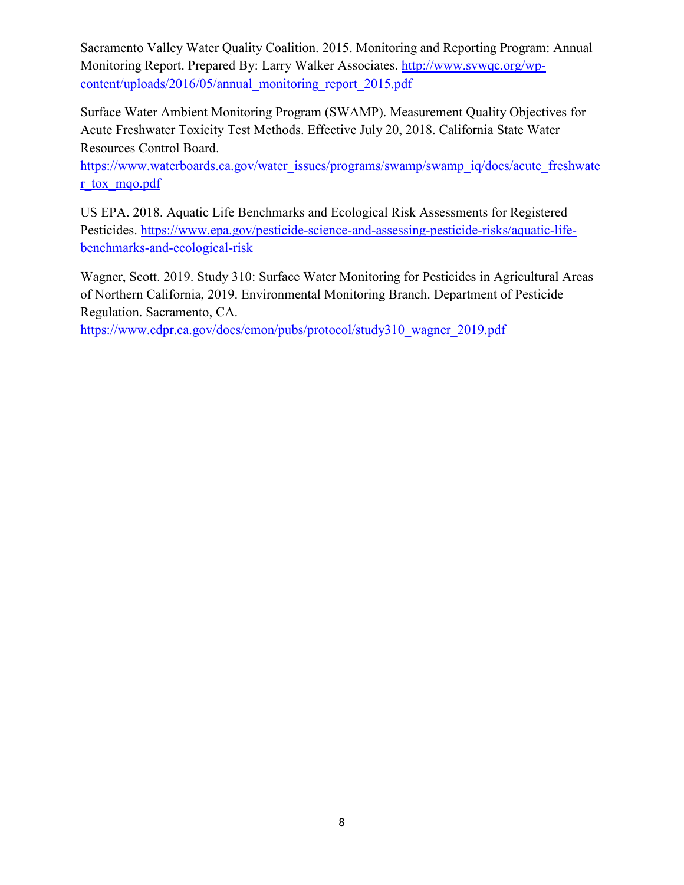Sacramento Valley Water Quality Coalition. 2015. Monitoring and Reporting Program: Annual Monitoring Report. Prepared By: Larry Walker Associates. [http://www.svwqc.org/wp](http://www.svwqc.org/wp-content/uploads/2016/05/annual_monitoring_report_2015.pdf)[content/uploads/2016/05/annual\\_monitoring\\_report\\_2015.pdf](http://www.svwqc.org/wp-content/uploads/2016/05/annual_monitoring_report_2015.pdf)

Surface Water Ambient Monitoring Program (SWAMP). Measurement Quality Objectives for Acute Freshwater Toxicity Test Methods. Effective July 20, 2018. California State Water Resources Control Board.

[https://www.waterboards.ca.gov/water\\_issues/programs/swamp/swamp\\_iq/docs/acute\\_freshwate](https://www.waterboards.ca.gov/water_issues/programs/swamp/swamp_iq/docs/acute_freshwater_tox_mqo.pdf) [r\\_tox\\_mqo.pdf](https://www.waterboards.ca.gov/water_issues/programs/swamp/swamp_iq/docs/acute_freshwater_tox_mqo.pdf)

US EPA. 2018. Aquatic Life Benchmarks and Ecological Risk Assessments for Registered Pesticides. [https://www.epa.gov/pesticide-science-and-assessing-pesticide-risks/aquatic-life](https://www.epa.gov/pesticide-science-and-assessing-pesticide-risks/aquatic-life-benchmarks-and-ecological-risk)[benchmarks-and-ecological-risk](https://www.epa.gov/pesticide-science-and-assessing-pesticide-risks/aquatic-life-benchmarks-and-ecological-risk)

Wagner, Scott. 2019. Study 310: Surface Water Monitoring for Pesticides in Agricultural Areas of Northern California, 2019. Environmental Monitoring Branch. Department of Pesticide Regulation. Sacramento, CA.

[https://www.cdpr.ca.gov/docs/emon/pubs/protocol/study310\\_wagner\\_2019.pdf](https://www.cdpr.ca.gov/docs/emon/pubs/protocol/study310_wagner_2019.pdf)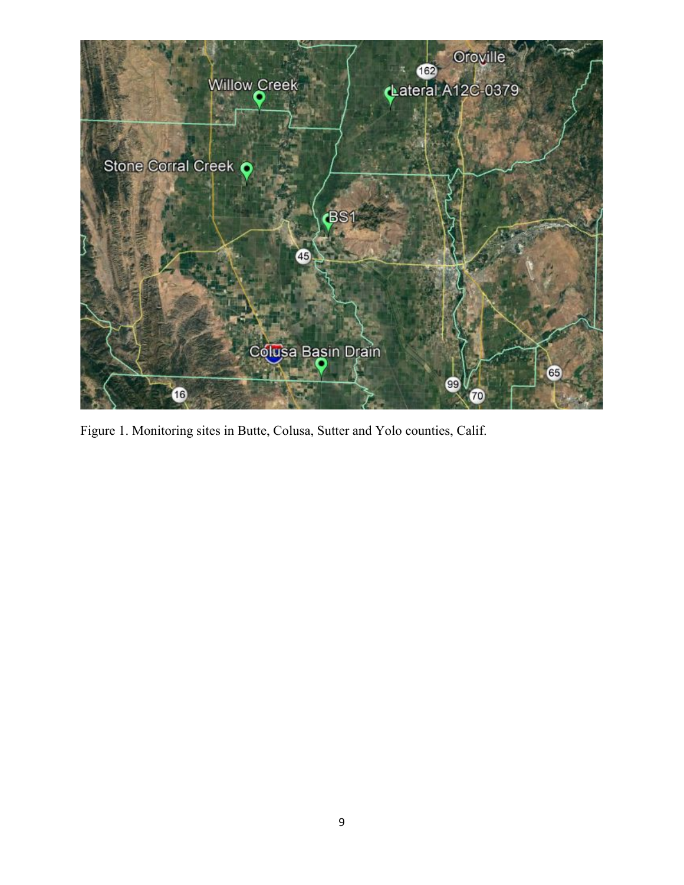

Figure 1. Monitoring sites in Butte, Colusa, Sutter and Yolo counties, Calif.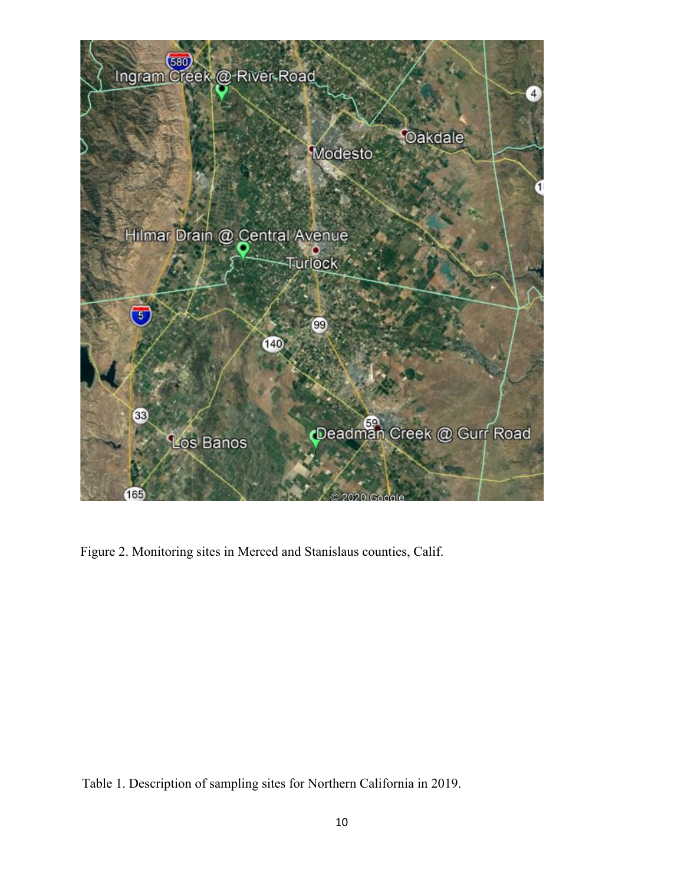

Figure 2. Monitoring sites in Merced and Stanislaus counties, Calif.

Table 1. Description of sampling sites for Northern California in 2019.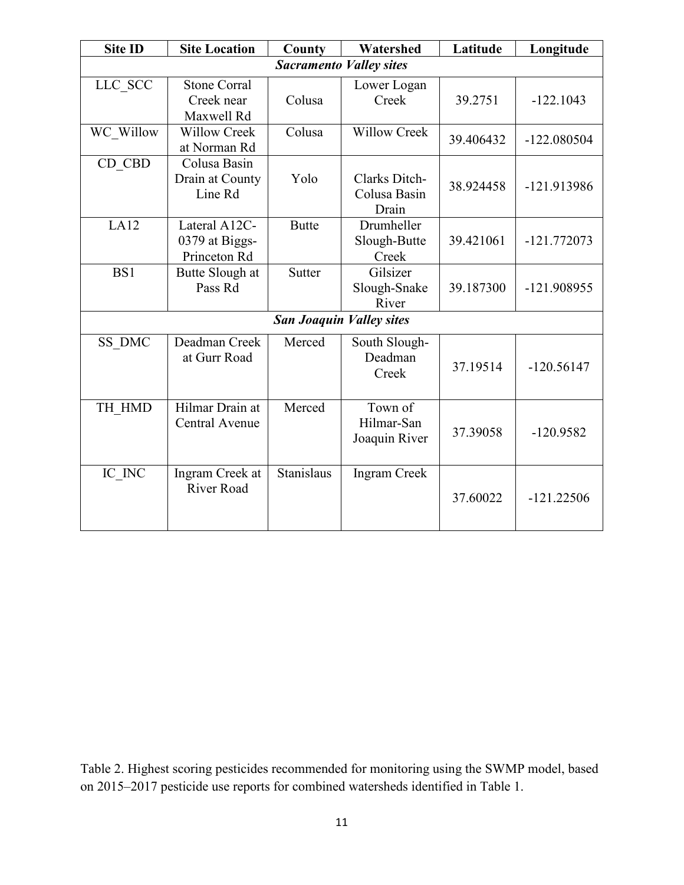| <b>Site ID</b>                 | <b>Site Location</b>                            | County        | Watershed                              | Latitude  | Longitude     |  |
|--------------------------------|-------------------------------------------------|---------------|----------------------------------------|-----------|---------------|--|
| <b>Sacramento Valley sites</b> |                                                 |               |                                        |           |               |  |
| LLC SCC                        | <b>Stone Corral</b><br>Creek near<br>Maxwell Rd | Colusa        | Lower Logan<br>Creek                   | 39.2751   | $-122.1043$   |  |
| WC Willow                      | <b>Willow Creek</b><br>at Norman Rd             | Colusa        | <b>Willow Creek</b>                    | 39.406432 | $-122.080504$ |  |
| CD_CBD                         | Colusa Basin<br>Drain at County<br>Line Rd      | Yolo          | Clarks Ditch-<br>Colusa Basin<br>Drain | 38.924458 | -121.913986   |  |
| LA12                           | Lateral A12C-<br>0379 at Biggs-<br>Princeton Rd | <b>Butte</b>  | Drumheller<br>Slough-Butte<br>Creek    | 39.421061 | $-121.772073$ |  |
| BS1                            | Butte Slough at<br>Pass Rd                      | <b>Sutter</b> | Gilsizer<br>Slough-Snake<br>River      | 39.187300 | -121.908955   |  |
|                                |                                                 |               | <b>San Joaquin Valley sites</b>        |           |               |  |
| SS_DMC                         | Deadman Creek<br>at Gurr Road                   | Merced        | South Slough-<br>Deadman<br>Creek      | 37.19514  | $-120.56147$  |  |
| TH HMD                         | Hilmar Drain at<br><b>Central Avenue</b>        | Merced        | Town of<br>Hilmar-San<br>Joaquin River | 37.39058  | $-120.9582$   |  |
| IC_INC                         | Ingram Creek at<br><b>River Road</b>            | Stanislaus    | <b>Ingram Creek</b>                    | 37.60022  | $-121.22506$  |  |

Table 2. Highest scoring pesticides recommended for monitoring using the SWMP model, based on 2015–2017 pesticide use reports for combined watersheds identified in Table 1.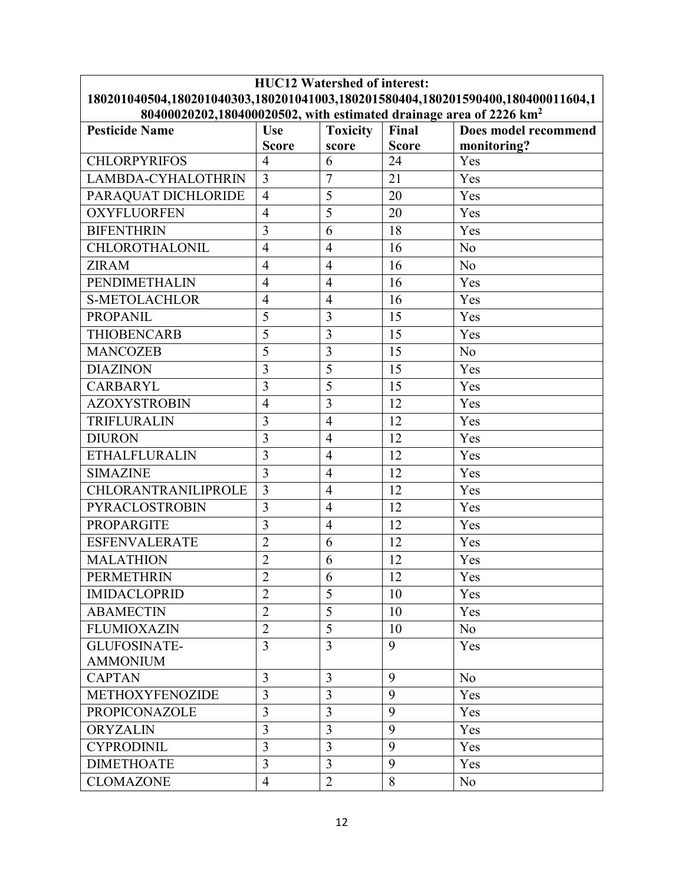| <b>HUC12 Watershed of interest:</b>                                             |                                |                     |                    |                      |  |  |
|---------------------------------------------------------------------------------|--------------------------------|---------------------|--------------------|----------------------|--|--|
| 180201040504,180201040303,180201041003,180201580404,180201590400,180400011604,1 |                                |                     |                    |                      |  |  |
| 80400020202,180400020502, with estimated drainage area of 2226 km <sup>2</sup>  |                                |                     |                    |                      |  |  |
| <b>Pesticide Name</b>                                                           | Use                            | <b>Toxicity</b>     | Final              | Does model recommend |  |  |
|                                                                                 | <b>Score</b><br>$\overline{4}$ | score               | <b>Score</b><br>24 | monitoring?<br>Yes   |  |  |
| <b>CHLORPYRIFOS</b>                                                             |                                | 6<br>$\overline{7}$ |                    |                      |  |  |
| LAMBDA-CYHALOTHRIN                                                              | $\overline{3}$                 |                     | 21                 | Yes                  |  |  |
| PARAQUAT DICHLORIDE                                                             | $\overline{4}$                 | 5                   | 20                 | Yes                  |  |  |
| <b>OXYFLUORFEN</b>                                                              | $\overline{4}$                 | 5                   | 20                 | Yes                  |  |  |
| <b>BIFENTHRIN</b>                                                               | 3                              | 6                   | 18                 | Yes                  |  |  |
| CHLOROTHALONIL                                                                  | $\overline{4}$                 | $\overline{4}$      | 16                 | No                   |  |  |
| <b>ZIRAM</b>                                                                    | $\overline{4}$                 | $\overline{4}$      | 16                 | N <sub>o</sub>       |  |  |
| <b>PENDIMETHALIN</b>                                                            | $\overline{4}$                 | $\overline{4}$      | 16                 | Yes                  |  |  |
| <b>S-METOLACHLOR</b>                                                            | $\overline{4}$                 | $\overline{4}$      | 16                 | Yes                  |  |  |
| <b>PROPANIL</b>                                                                 | 5                              | 3                   | 15                 | Yes                  |  |  |
| <b>THIOBENCARB</b>                                                              | 5                              | 3                   | 15                 | Yes                  |  |  |
| <b>MANCOZEB</b>                                                                 | 5                              | 3                   | 15                 | N <sub>o</sub>       |  |  |
| <b>DIAZINON</b>                                                                 | 3                              | 5                   | 15                 | Yes                  |  |  |
| <b>CARBARYL</b>                                                                 | $\overline{3}$                 | 5                   | 15                 | Yes                  |  |  |
| <b>AZOXYSTROBIN</b>                                                             | $\overline{4}$                 | 3                   | 12                 | Yes                  |  |  |
| TRIFLURALIN                                                                     | 3                              | $\overline{4}$      | 12                 | Yes                  |  |  |
| <b>DIURON</b>                                                                   | $\overline{3}$                 | $\overline{4}$      | 12                 | Yes                  |  |  |
| <b>ETHALFLURALIN</b>                                                            | $\overline{3}$                 | $\overline{4}$      | 12                 | Yes                  |  |  |
| <b>SIMAZINE</b>                                                                 | $\overline{3}$                 | $\overline{4}$      | 12                 | Yes                  |  |  |
| CHLORANTRANILIPROLE                                                             | $\overline{3}$                 | $\overline{4}$      | 12                 | Yes                  |  |  |
| PYRACLOSTROBIN                                                                  | 3                              | $\overline{4}$      | 12                 | Yes                  |  |  |
| <b>PROPARGITE</b>                                                               | 3                              | $\overline{4}$      | 12                 | Yes                  |  |  |
| <b>ESFENVALERATE</b>                                                            | $\overline{2}$                 | 6                   | 12                 | Yes                  |  |  |
| <b>MALATHION</b>                                                                | $\overline{c}$                 | 6                   | 12                 | Yes                  |  |  |
| <b>PERMETHRIN</b>                                                               | $\overline{2}$                 | $\sqrt{6}$          | 12                 | Yes                  |  |  |
| <b>IMIDACLOPRID</b>                                                             | $\overline{2}$                 | 5                   | 10                 | Yes                  |  |  |
| <b>ABAMECTIN</b>                                                                | $\overline{2}$                 | 5                   | 10                 | Yes                  |  |  |
| <b>FLUMIOXAZIN</b>                                                              | $\overline{2}$                 | 5                   | 10                 | N <sub>o</sub>       |  |  |
| <b>GLUFOSINATE-</b>                                                             | $\overline{3}$                 | $\overline{3}$      | 9                  | Yes                  |  |  |
| <b>AMMONIUM</b>                                                                 |                                |                     |                    |                      |  |  |
| <b>CAPTAN</b>                                                                   | 3                              | 3                   | 9                  | No                   |  |  |
| METHOXYFENOZIDE                                                                 | 3                              | 3                   | 9                  | Yes                  |  |  |
| PROPICONAZOLE                                                                   | 3                              | 3                   | 9                  | Yes                  |  |  |
| <b>ORYZALIN</b>                                                                 | 3                              | 3                   | 9                  | Yes                  |  |  |
| <b>CYPRODINIL</b>                                                               | $\overline{3}$                 | $\overline{3}$      | 9                  | Yes                  |  |  |
| <b>DIMETHOATE</b>                                                               | 3                              | 3                   | 9                  | Yes                  |  |  |
| <b>CLOMAZONE</b>                                                                | $\overline{4}$                 | $\overline{2}$      | 8                  | N <sub>o</sub>       |  |  |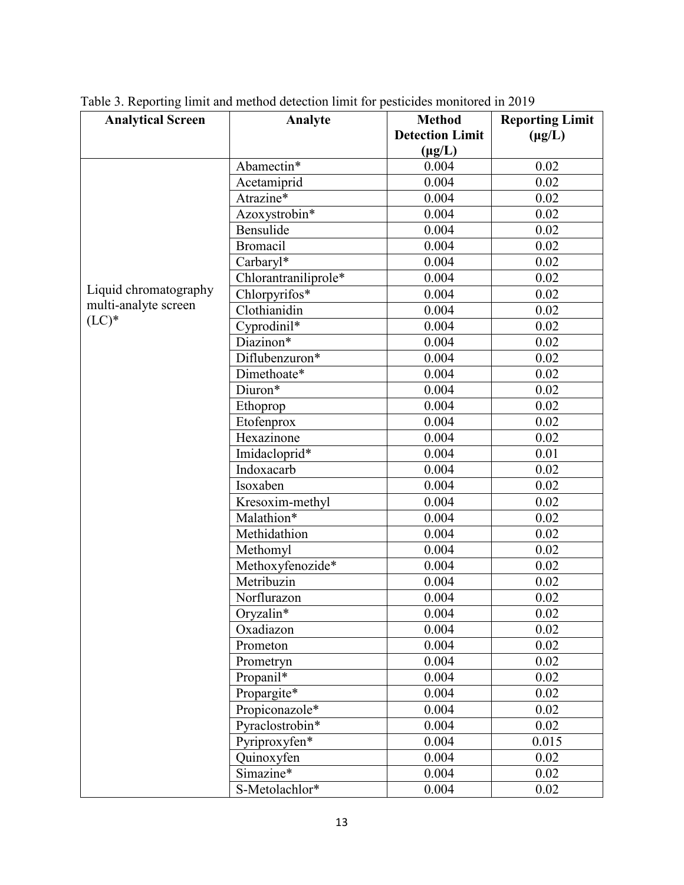| <b>Analytical Screen</b> | Analyte              | <b>Method</b>          | <b>Reporting Limit</b> |
|--------------------------|----------------------|------------------------|------------------------|
|                          |                      | <b>Detection Limit</b> | $(\mu g/L)$            |
|                          |                      | $(\mu g/L)$            |                        |
|                          | Abamectin*           | 0.004                  | 0.02                   |
|                          | Acetamiprid          | 0.004                  | 0.02                   |
|                          | Atrazine*            | 0.004                  | 0.02                   |
|                          | Azoxystrobin*        | 0.004                  | 0.02                   |
|                          | Bensulide            | 0.004                  | 0.02                   |
|                          | <b>Bromacil</b>      | 0.004                  | 0.02                   |
|                          | Carbaryl*            | 0.004                  | 0.02                   |
|                          | Chlorantraniliprole* | 0.004                  | 0.02                   |
| Liquid chromatography    | Chlorpyrifos*        | 0.004                  | 0.02                   |
| multi-analyte screen     | Clothianidin         | 0.004                  | 0.02                   |
| $(LC)*$                  | Cyprodinil*          | 0.004                  | 0.02                   |
|                          | Diazinon*            | 0.004                  | 0.02                   |
|                          | Diflubenzuron*       | 0.004                  | 0.02                   |
|                          | Dimethoate*          | 0.004                  | 0.02                   |
|                          | Diuron*              | 0.004                  | 0.02                   |
|                          | Ethoprop             | 0.004                  | 0.02                   |
|                          | Etofenprox           | 0.004                  | 0.02                   |
|                          | Hexazinone           | 0.004                  | 0.02                   |
|                          | Imidacloprid*        | 0.004                  | 0.01                   |
|                          | Indoxacarb           | 0.004                  | 0.02                   |
|                          | Isoxaben             | 0.004                  | 0.02                   |
|                          | Kresoxim-methyl      | 0.004                  | 0.02                   |
|                          | Malathion*           | 0.004                  | 0.02                   |
|                          | Methidathion         | 0.004                  | 0.02                   |
|                          | Methomyl             | 0.004                  | 0.02                   |
|                          | Methoxyfenozide*     | 0.004                  | 0.02                   |
|                          | Metribuzin           | 0.004                  | 0.02                   |
|                          | Norflurazon          | 0.004                  | 0.02                   |
|                          | Oryzalin*            | 0.004                  | $0.02\,$               |
|                          | Oxadiazon            | 0.004                  | 0.02                   |
|                          | Prometon             | 0.004                  | 0.02                   |
|                          | Prometryn            | 0.004                  | 0.02                   |
|                          | Propanil*            | 0.004                  | 0.02                   |
|                          | Propargite*          | 0.004                  | 0.02                   |
|                          | Propiconazole*       | 0.004                  | 0.02                   |
|                          | Pyraclostrobin*      | 0.004                  | 0.02                   |
|                          | Pyriproxyfen*        | 0.004                  | 0.015                  |
|                          | Quinoxyfen           | 0.004                  | 0.02                   |
|                          | Simazine*            | 0.004                  | 0.02                   |
|                          | S-Metolachlor*       | 0.004                  | 0.02                   |

Table 3. Reporting limit and method detection limit for pesticides monitored in 2019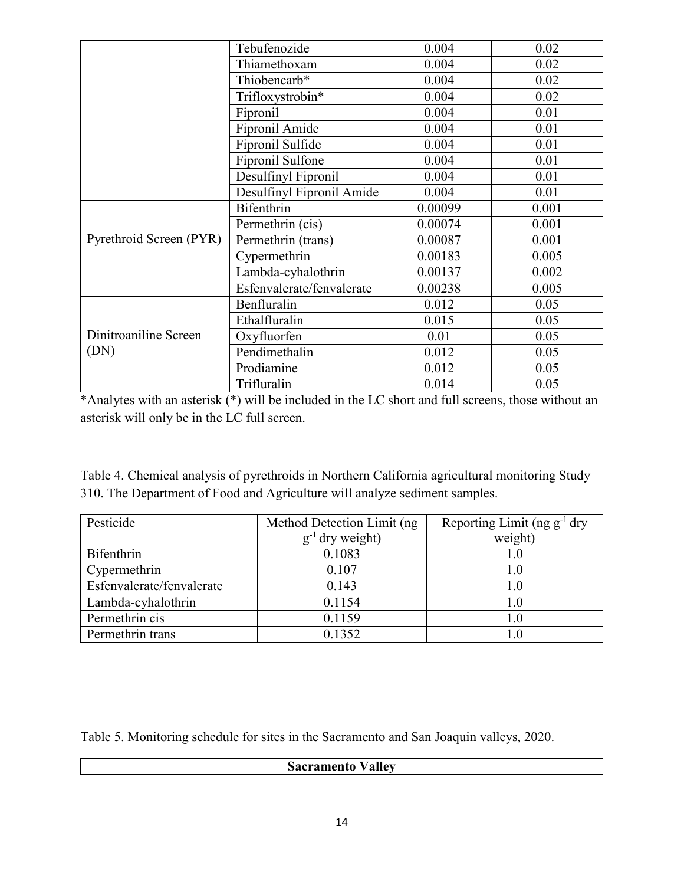|                         | Tebufenozide              | 0.004   | 0.02  |
|-------------------------|---------------------------|---------|-------|
|                         | Thiamethoxam              | 0.004   | 0.02  |
|                         | Thiobencarb*              | 0.004   | 0.02  |
|                         | Trifloxystrobin*          | 0.004   | 0.02  |
|                         | Fipronil                  | 0.004   | 0.01  |
|                         | Fipronil Amide            | 0.004   | 0.01  |
|                         | Fipronil Sulfide          | 0.004   | 0.01  |
|                         | Fipronil Sulfone          | 0.004   | 0.01  |
|                         | Desulfinyl Fipronil       | 0.004   | 0.01  |
|                         | Desulfinyl Fipronil Amide | 0.004   | 0.01  |
|                         | <b>Bifenthrin</b>         | 0.00099 | 0.001 |
|                         | Permethrin (cis)          | 0.00074 | 0.001 |
| Pyrethroid Screen (PYR) | Permethrin (trans)        | 0.00087 | 0.001 |
|                         | Cypermethrin              | 0.00183 | 0.005 |
|                         | Lambda-cyhalothrin        | 0.00137 | 0.002 |
|                         | Esfenvalerate/fenvalerate | 0.00238 | 0.005 |
|                         | Benfluralin               | 0.012   | 0.05  |
|                         | Ethalfluralin             | 0.015   | 0.05  |
| Dinitroaniline Screen   | Oxyfluorfen               | 0.01    | 0.05  |
| (DN)                    | Pendimethalin             | 0.012   | 0.05  |
|                         | Prodiamine                | 0.012   | 0.05  |
|                         | Trifluralin               | 0.014   | 0.05  |

\*Analytes with an asterisk (\*) will be included in the LC short and full screens, those without an asterisk will only be in the LC full screen.

Table 4. Chemical analysis of pyrethroids in Northern California agricultural monitoring Study 310. The Department of Food and Agriculture will analyze sediment samples.

| Pesticide                 | Method Detection Limit (ng) | Reporting Limit (ng $g^{-1}$ dry |
|---------------------------|-----------------------------|----------------------------------|
|                           | $g^{-1}$ dry weight)        | weight)                          |
| Bifenthrin                | 0.1083                      | 1.0                              |
| Cypermethrin              | 0.107                       | 1.0                              |
| Esfenvalerate/fenvalerate | 0.143                       | 1.0                              |
| Lambda-cyhalothrin        | 0.1154                      | 1.0                              |
| Permethrin cis            | 0.1159                      | 1.0                              |
| Permethrin trans          | 0.1352                      |                                  |

Table 5. Monitoring schedule for sites in the Sacramento and San Joaquin valleys, 2020.

## **Sacramento Valley**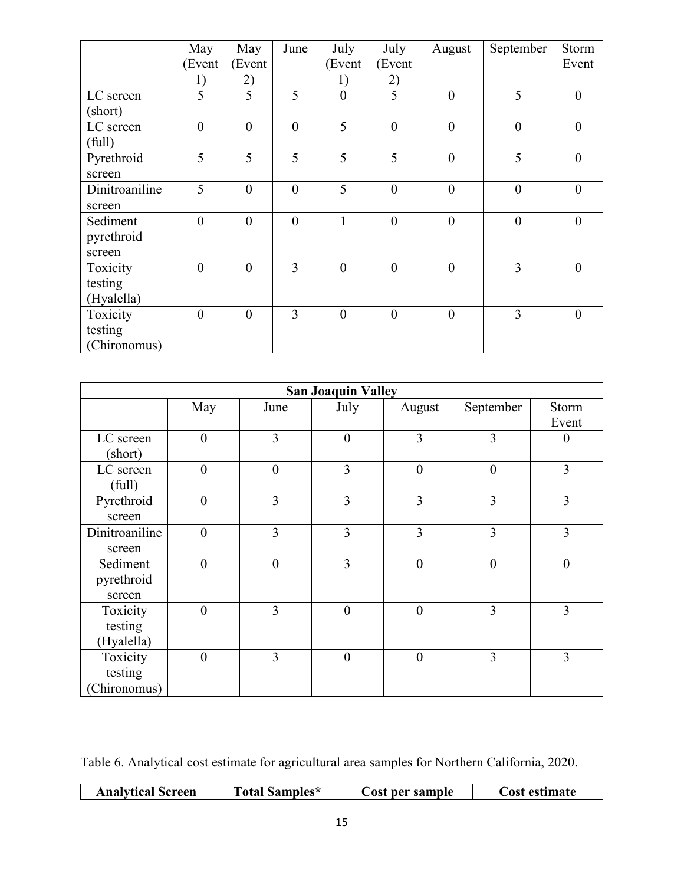|                | May            | May              | June           | July             | July     | August         | September        | Storm    |
|----------------|----------------|------------------|----------------|------------------|----------|----------------|------------------|----------|
|                | (Event         | (Event           |                | (Event           | (Event   |                |                  | Event    |
|                | 1)             | 2)               |                | 1)               | 2)       |                |                  |          |
| LC screen      | 5              | 5                | 5              | $\boldsymbol{0}$ | 5        | $\theta$       | 5                | $\theta$ |
| (short)        |                |                  |                |                  |          |                |                  |          |
| LC screen      | $\overline{0}$ | $\boldsymbol{0}$ | $\overline{0}$ | 5                | $\theta$ | $\overline{0}$ | $\overline{0}$   | $\theta$ |
| (full)         |                |                  |                |                  |          |                |                  |          |
| Pyrethroid     | 5              | 5                | 5              | 5                | 5        | $\theta$       | 5                | $\theta$ |
| screen         |                |                  |                |                  |          |                |                  |          |
| Dinitroaniline | 5              | $\boldsymbol{0}$ | $\overline{0}$ | 5                | $\theta$ | $\theta$       | $\theta$         | $\theta$ |
| screen         |                |                  |                |                  |          |                |                  |          |
| Sediment       | $\overline{0}$ | $\boldsymbol{0}$ | $\overline{0}$ | 1                | $\theta$ | $\overline{0}$ | $\boldsymbol{0}$ | $\theta$ |
| pyrethroid     |                |                  |                |                  |          |                |                  |          |
| screen         |                |                  |                |                  |          |                |                  |          |
| Toxicity       | $\theta$       | $\overline{0}$   | 3              | $\mathbf{0}$     | $\theta$ | $\theta$       | $\overline{3}$   | $\theta$ |
| testing        |                |                  |                |                  |          |                |                  |          |
| (Hyalella)     |                |                  |                |                  |          |                |                  |          |
| Toxicity       | $\overline{0}$ | $\overline{0}$   | 3              | $\theta$         | $\theta$ | $\overline{0}$ | 3                | $\theta$ |
| testing        |                |                  |                |                  |          |                |                  |          |
| (Chironomus)   |                |                  |                |                  |          |                |                  |          |

| <b>San Joaquin Valley</b>           |                |                  |                  |                  |                |                |
|-------------------------------------|----------------|------------------|------------------|------------------|----------------|----------------|
|                                     | May            | June             | July             | August           | September      | Storm<br>Event |
| LC screen<br>(short)                | $\theta$       | 3                | $\boldsymbol{0}$ | 3                | 3              | $\overline{0}$ |
| LC screen<br>(full)                 | $\theta$       | $\boldsymbol{0}$ | 3                | $\boldsymbol{0}$ | $\overline{0}$ | 3              |
| Pyrethroid<br>screen                | $\theta$       | 3                | 3                | 3                | 3              | 3              |
| Dinitroaniline<br>screen            | $\theta$       | $\overline{3}$   | 3                | 3                | 3              | 3              |
| Sediment<br>pyrethroid<br>screen    | $\overline{0}$ | $\boldsymbol{0}$ | 3                | $\boldsymbol{0}$ | $\theta$       | $\overline{0}$ |
| Toxicity<br>testing<br>(Hyalella)   | $\theta$       | 3                | $\overline{0}$   | $\theta$         | 3              | 3              |
| Toxicity<br>testing<br>(Chironomus) | $\theta$       | 3                | $\boldsymbol{0}$ | $\overline{0}$   | 3              | 3              |

Table 6. Analytical cost estimate for agricultural area samples for Northern California, 2020.

| <b>Analytical Screen</b><br><b>Total Samples*</b> | per sample<br>∄ost | <b>Cost estimate</b> |
|---------------------------------------------------|--------------------|----------------------|
|---------------------------------------------------|--------------------|----------------------|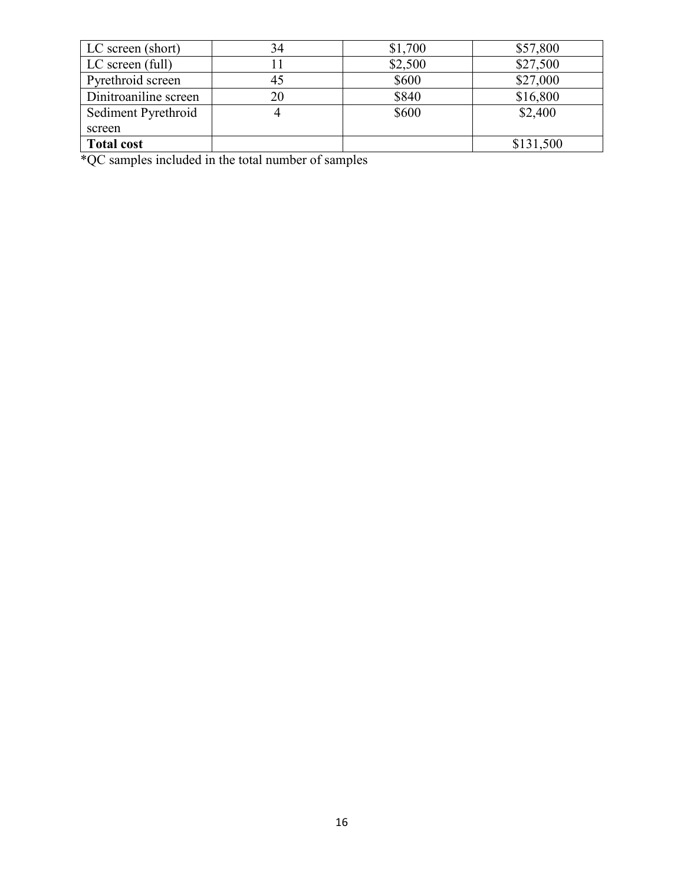| LC screen (short)     | 34 | \$1,700 | \$57,800  |
|-----------------------|----|---------|-----------|
| LC screen (full)      |    | \$2,500 | \$27,500  |
| Pyrethroid screen     | 45 | \$600   | \$27,000  |
| Dinitroaniline screen | 20 | \$840   | \$16,800  |
| Sediment Pyrethroid   |    | \$600   | \$2,400   |
| screen                |    |         |           |
| <b>Total cost</b>     |    |         | \$131,500 |

\*QC samples included in the total number of samples